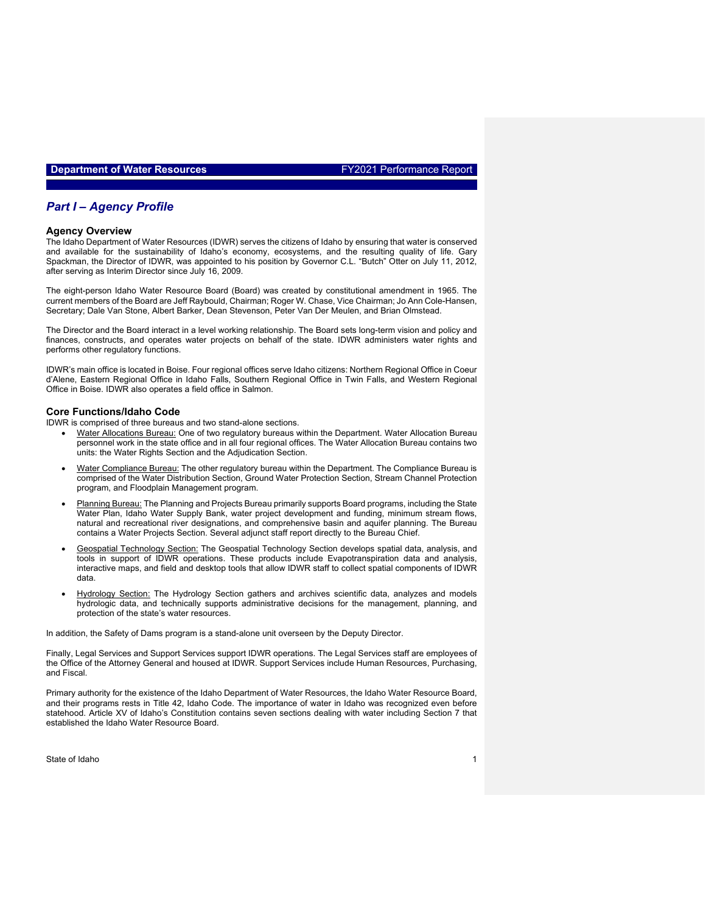### *Part I – Agency Profile 2018 – Do not delete this text*

#### **Agency Overview**

The Idaho Department of Water Resources (IDWR) serves the citizens of Idaho by ensuring that water is conserved and available for the sustainability of Idaho's economy, ecosystems, and the resulting quality of life. Gary Spackman, the Director of IDWR, was appointed to his position by Governor C.L. "Butch" Otter on July 11, 2012, after serving as Interim Director since July 16, 2009.

The eight-person Idaho Water Resource Board (Board) was created by constitutional amendment in 1965. The current members of the Board are Jeff Raybould, Chairman; Roger W. Chase, Vice Chairman; Jo Ann Cole-Hansen, Secretary; Dale Van Stone, Albert Barker, Dean Stevenson, Peter Van Der Meulen, and Brian Olmstead.

The Director and the Board interact in a level working relationship. The Board sets long-term vision and policy and finances, constructs, and operates water projects on behalf of the state. IDWR administers water rights and performs other regulatory functions.

IDWR's main office is located in Boise. Four regional offices serve Idaho citizens: Northern Regional Office in Coeur d'Alene, Eastern Regional Office in Idaho Falls, Southern Regional Office in Twin Falls, and Western Regional Office in Boise. IDWR also operates a field office in Salmon.

#### **Core Functions/Idaho Code**

IDWR is comprised of three bureaus and two stand-alone sections.

- Water Allocations Bureau: One of two regulatory bureaus within the Department. Water Allocation Bureau personnel work in the state office and in all four regional offices. The Water Allocation Bureau contains two units: the Water Rights Section and the Adjudication Section.
- Water Compliance Bureau: The other regulatory bureau within the Department. The Compliance Bureau is comprised of the Water Distribution Section, Ground Water Protection Section, Stream Channel Protection program, and Floodplain Management program.
- Planning Bureau: The Planning and Projects Bureau primarily supports Board programs, including the State Water Plan, Idaho Water Supply Bank, water project development and funding, minimum stream flows, natural and recreational river designations, and comprehensive basin and aquifer planning. The Bureau contains a Water Projects Section. Several adjunct staff report directly to the Bureau Chief.
- Geospatial Technology Section: The Geospatial Technology Section develops spatial data, analysis, and tools in support of IDWR operations. These products include Evapotranspiration data and analysis, interactive maps, and field and desktop tools that allow IDWR staff to collect spatial components of IDWR data.
- Hydrology Section: The Hydrology Section gathers and archives scientific data, analyzes and models hydrologic data, and technically supports administrative decisions for the management, planning, and protection of the state's water resources.

In addition, the Safety of Dams program is a stand-alone unit overseen by the Deputy Director.

Finally, Legal Services and Support Services support IDWR operations. The Legal Services staff are employees of the Office of the Attorney General and housed at IDWR. Support Services include Human Resources, Purchasing, and Fiscal.

Primary authority for the existence of the Idaho Department of Water Resources, the Idaho Water Resource Board, and their programs rests in Title 42, Idaho Code. The importance of water in Idaho was recognized even before statehood. Article XV of Idaho's Constitution contains seven sections dealing with water including Section 7 that established the Idaho Water Resource Board.

State of Idaho 1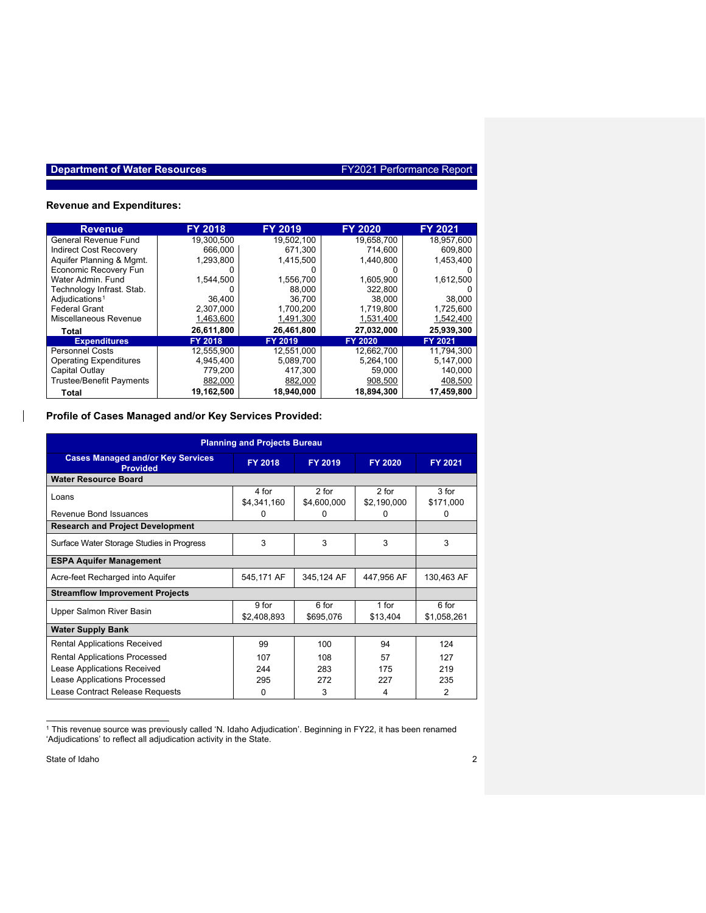## **Revenue and Expenditures:**

| <b>Revenue</b>                  | <b>FY 2018</b> | <b>FY 2019</b> | <b>EY 2020</b> | FY 2021    |
|---------------------------------|----------------|----------------|----------------|------------|
| General Revenue Fund            | 19,300,500     | 19,502,100     | 19,658,700     | 18,957,600 |
| <b>Indirect Cost Recoverv</b>   | 666,000        | 671.300        | 714.600        | 609,800    |
| Aquifer Planning & Mgmt.        | 1.293.800      | 1.415.500      | 1,440,800      | 1,453,400  |
| Economic Recovery Fun           |                |                |                |            |
| Water Admin, Fund               | 1,544,500      | 1,556,700      | 1,605,900      | 1,612,500  |
| Technology Infrast. Stab.       |                | 88.000         | 322,800        |            |
| Adjudications <sup>1</sup>      | 36,400         | 36,700         | 38,000         | 38,000     |
| <b>Federal Grant</b>            | 2,307,000      | 1,700,200      | 1,719,800      | 1,725,600  |
| Miscellaneous Revenue           | 1,463,600      | 1,491,300      | 1,531,400      | 1,542,400  |
| Total                           | 26,611,800     | 26,461,800     | 27,032,000     | 25,939,300 |
| <b>Expenditures</b>             | FY 2018        | FY 2019        | FY 2020        | FY 2021    |
| <b>Personnel Costs</b>          | 12,555,900     | 12,551,000     | 12,662,700     | 11,794,300 |
| <b>Operating Expenditures</b>   | 4,945,400      | 5,089,700      | 5,264,100      | 5.147.000  |
| Capital Outlay                  | 779.200        | 417,300        | 59,000         | 140.000    |
| <b>Trustee/Benefit Payments</b> | 882,000        | 882,000        | 908,500        | 408,500    |
| Total                           | 19.162.500     | 18,940,000     | 18.894.300     | 17.459.800 |

## **Profile of Cases Managed and/or Key Services Provided:**

| <b>Planning and Projects Bureau</b>                         |                        |                        |                        |                      |  |  |  |  |
|-------------------------------------------------------------|------------------------|------------------------|------------------------|----------------------|--|--|--|--|
| <b>Cases Managed and/or Key Services</b><br><b>Provided</b> | FY 2018                | FY 2019                | FY 2020                | FY 2021              |  |  |  |  |
| <b>Water Resource Board</b>                                 |                        |                        |                        |                      |  |  |  |  |
| Loans                                                       | 4 for<br>\$4,341,160   | $2$ for<br>\$4,600,000 | $2$ for<br>\$2,190,000 | $3$ for<br>\$171,000 |  |  |  |  |
| Revenue Bond Issuances                                      | 0                      | 0                      | 0                      | 0                    |  |  |  |  |
| <b>Research and Project Development</b>                     |                        |                        |                        |                      |  |  |  |  |
| Surface Water Storage Studies in Progress                   | 3                      | 3                      | 3                      | 3                    |  |  |  |  |
| <b>ESPA Aquifer Management</b>                              |                        |                        |                        |                      |  |  |  |  |
| Acre-feet Recharged into Aquifer                            | 545,171 AF             | 345,124 AF             | 447,956 AF             | 130,463 AF           |  |  |  |  |
| <b>Streamflow Improvement Projects</b>                      |                        |                        |                        |                      |  |  |  |  |
| Upper Salmon River Basin                                    | $9$ for<br>\$2,408,893 | 6 for<br>\$695,076     | $1$ for<br>\$13,404    | 6 for<br>\$1,058,261 |  |  |  |  |
| <b>Water Supply Bank</b>                                    |                        |                        |                        |                      |  |  |  |  |
| <b>Rental Applications Received</b>                         | 99                     | 100                    | 94                     | 124                  |  |  |  |  |
| <b>Rental Applications Processed</b>                        | 107                    | 108                    | 57                     | 127                  |  |  |  |  |
| Lease Applications Received                                 | 244                    | 283                    | 175                    | 219                  |  |  |  |  |
| Lease Applications Processed                                | 295                    | 272                    | 227                    | 235                  |  |  |  |  |
| Lease Contract Release Requests                             | 0                      | 3                      | 4                      | 2                    |  |  |  |  |

<sup>1</sup> This revenue source was previously called 'N. Idaho Adjudication'. Beginning in FY22, it has been renamed 'Adjudications' to reflect all adjudication activity in the State.

<span id="page-1-0"></span>State of Idaho 2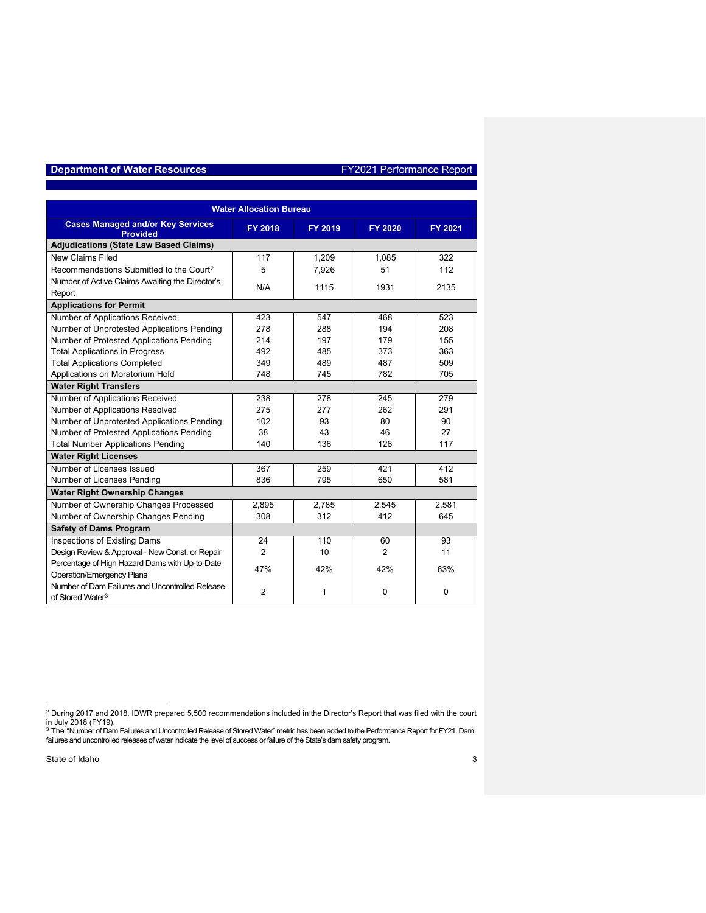| <b>Water Allocation Bureau</b>                                                                                      |                |         |          |             |  |  |  |
|---------------------------------------------------------------------------------------------------------------------|----------------|---------|----------|-------------|--|--|--|
| <b>Cases Managed and/or Key Services</b><br><b>Provided</b>                                                         | FY 2018        | FY 2019 | FY 2020  | FY 2021     |  |  |  |
| <b>Adjudications (State Law Based Claims)</b>                                                                       |                |         |          |             |  |  |  |
| <b>New Claims Filed</b>                                                                                             | 117            | 1,209   | 1,085    | 322         |  |  |  |
| Recommendations Submitted to the Court <sup>2</sup>                                                                 | 5              | 7,926   | 51       | 112         |  |  |  |
| Number of Active Claims Awaiting the Director's                                                                     | N/A            | 1115    | 1931     | 2135        |  |  |  |
| Report                                                                                                              |                |         |          |             |  |  |  |
| <b>Applications for Permit</b>                                                                                      |                |         |          |             |  |  |  |
| Number of Applications Received                                                                                     | 423            | 547     | 468      | 523         |  |  |  |
| Number of Unprotested Applications Pending                                                                          | 278            | 288     | 194      | 208         |  |  |  |
| Number of Protested Applications Pending                                                                            | 214            | 197     | 179      | 155         |  |  |  |
| <b>Total Applications in Progress</b>                                                                               | 492            | 485     | 373      | 363         |  |  |  |
| <b>Total Applications Completed</b>                                                                                 | 349            | 489     | 487      | 509         |  |  |  |
| Applications on Moratorium Hold                                                                                     | 748            | 745     | 782      | 705         |  |  |  |
| <b>Water Right Transfers</b>                                                                                        |                |         |          |             |  |  |  |
| Number of Applications Received                                                                                     | 238            | 278     | 245      | 279         |  |  |  |
| Number of Applications Resolved                                                                                     | 275            | 277     | 262      | 291         |  |  |  |
| Number of Unprotested Applications Pending                                                                          | 102            | 93      | 80       | 90          |  |  |  |
| Number of Protested Applications Pending                                                                            | 38             | 43      | 46       | 27          |  |  |  |
| <b>Total Number Applications Pending</b>                                                                            | 140            | 136     | 126      | 117         |  |  |  |
| <b>Water Right Licenses</b>                                                                                         |                |         |          |             |  |  |  |
| Number of Licenses Issued                                                                                           | 367            | 259     | 421      | 412         |  |  |  |
| Number of Licenses Pending                                                                                          | 836            | 795     | 650      | 581         |  |  |  |
| <b>Water Right Ownership Changes</b>                                                                                |                |         |          |             |  |  |  |
| Number of Ownership Changes Processed                                                                               | 2,895          | 2,785   | 2,545    | 2,581       |  |  |  |
| Number of Ownership Changes Pending                                                                                 | 308            | 312     | 412      | 645         |  |  |  |
| <b>Safety of Dams Program</b>                                                                                       |                |         |          |             |  |  |  |
| Inspections of Existing Dams                                                                                        | 24             | 110     | 60       | 93          |  |  |  |
| Design Review & Approval - New Const. or Repair                                                                     | $\overline{2}$ | 10      | 2        | 11          |  |  |  |
| Percentage of High Hazard Dams with Up-to-Date                                                                      | 47%            | 42%     | 42%      | 63%         |  |  |  |
| <b>Operation/Emergency Plans</b><br>Number of Dam Failures and Uncontrolled Release<br>of Stored Water <sup>3</sup> | $\overline{2}$ | 1       | $\Omega$ | $\mathbf 0$ |  |  |  |

<span id="page-2-1"></span><span id="page-2-0"></span>

<sup>&</sup>lt;sup>2</sup> During 2017 and 2018, IDWR prepared 5,500 recommendations included in the Director's Report that was filed with the court<br>in July 2018 (FY19).<br><sup>3</sup> The "Number of Dam Failures and Uncontrolled Release of Stored Water" m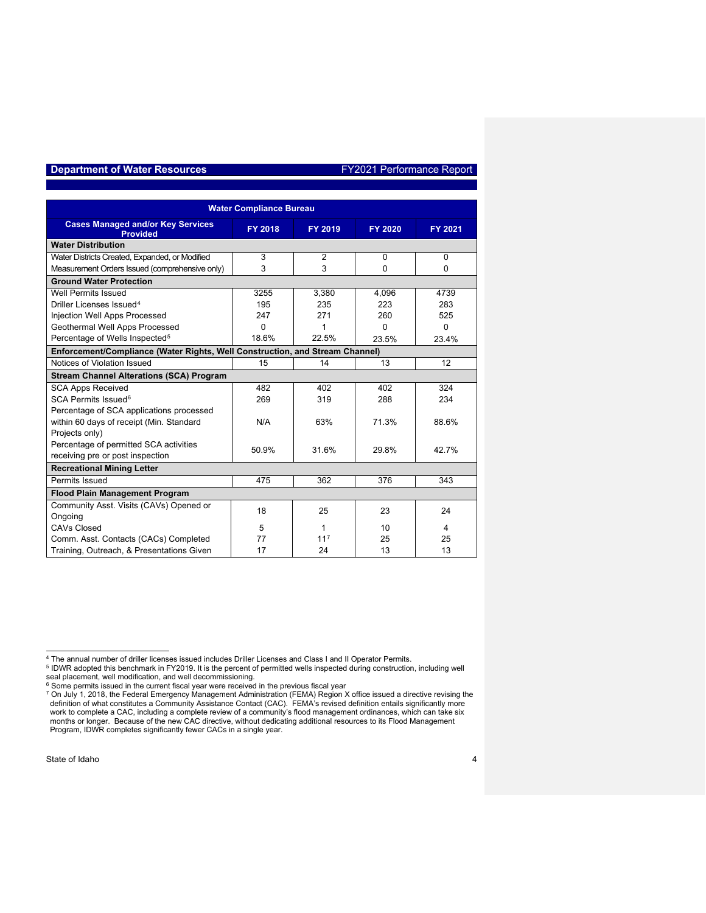| <b>Water Compliance Bureau</b>                                               |          |                 |          |          |  |  |  |  |  |
|------------------------------------------------------------------------------|----------|-----------------|----------|----------|--|--|--|--|--|
| <b>Cases Managed and/or Key Services</b><br><b>Provided</b>                  | FY 2018  | FY 2019         | FY 2020  | FY 2021  |  |  |  |  |  |
| <b>Water Distribution</b>                                                    |          |                 |          |          |  |  |  |  |  |
| Water Districts Created, Expanded, or Modified                               | 3        | $\overline{2}$  | $\Omega$ | $\Omega$ |  |  |  |  |  |
| Measurement Orders Issued (comprehensive only)                               | 3        | 3               | 0        | 0        |  |  |  |  |  |
| <b>Ground Water Protection</b>                                               |          |                 |          |          |  |  |  |  |  |
| Well Permits Issued                                                          | 3255     | 3,380           | 4,096    | 4739     |  |  |  |  |  |
| Driller Licenses Issued <sup>4</sup>                                         | 195      | 235             | 223      | 283      |  |  |  |  |  |
| Injection Well Apps Processed                                                | 247      | 271             | 260      | 525      |  |  |  |  |  |
| Geothermal Well Apps Processed                                               | $\Omega$ | 1               | 0        | 0        |  |  |  |  |  |
| Percentage of Wells Inspected <sup>5</sup>                                   | 18.6%    | 22.5%           | 23.5%    | 23.4%    |  |  |  |  |  |
| Enforcement/Compliance (Water Rights, Well Construction, and Stream Channel) |          |                 |          |          |  |  |  |  |  |
| Notices of Violation Issued                                                  | 15       | 14              | 13       | 12       |  |  |  |  |  |
| <b>Stream Channel Alterations (SCA) Program</b>                              |          |                 |          |          |  |  |  |  |  |
| <b>SCA Apps Received</b>                                                     | 482      | 402             | 402      | 324      |  |  |  |  |  |
| SCA Permits Issued <sup>6</sup>                                              | 269      | 319             | 288      | 234      |  |  |  |  |  |
| Percentage of SCA applications processed                                     |          |                 |          |          |  |  |  |  |  |
| within 60 days of receipt (Min. Standard                                     | N/A      | 63%             | 71.3%    | 88.6%    |  |  |  |  |  |
| Projects only)                                                               |          |                 |          |          |  |  |  |  |  |
| Percentage of permitted SCA activities                                       | 50.9%    | 31.6%           | 29.8%    | 42.7%    |  |  |  |  |  |
| receiving pre or post inspection                                             |          |                 |          |          |  |  |  |  |  |
| <b>Recreational Mining Letter</b>                                            |          |                 |          |          |  |  |  |  |  |
| Permits Issued                                                               | 475      | 362             | 376      | 343      |  |  |  |  |  |
| <b>Flood Plain Management Program</b>                                        |          |                 |          |          |  |  |  |  |  |
| Community Asst. Visits (CAVs) Opened or                                      | 18       | 25              | 23       | 24       |  |  |  |  |  |
| Ongoing                                                                      |          |                 |          |          |  |  |  |  |  |
| <b>CAVs Closed</b>                                                           | 5        | 1               | 10       | 4        |  |  |  |  |  |
| Comm. Asst. Contacts (CACs) Completed                                        | 77       | 11 <sup>7</sup> | 25       | 25       |  |  |  |  |  |
| Training, Outreach, & Presentations Given                                    | 17       | 24              | 13       | 13       |  |  |  |  |  |

<span id="page-3-3"></span><span id="page-3-2"></span><span id="page-3-1"></span><span id="page-3-0"></span>

<sup>&</sup>lt;sup>4</sup> The annual number of driller licenses issued includes Driller Licenses and Class I and II Operator Permits.<br><sup>5</sup> IDWR adopted this benchmark in FY2019. It is the percent of permitted wells inspected during construction months or longer. Because of the new CAC directive, without dedicating additional resources to its Flood Management Program, IDWR completes significantly fewer CACs in a single year.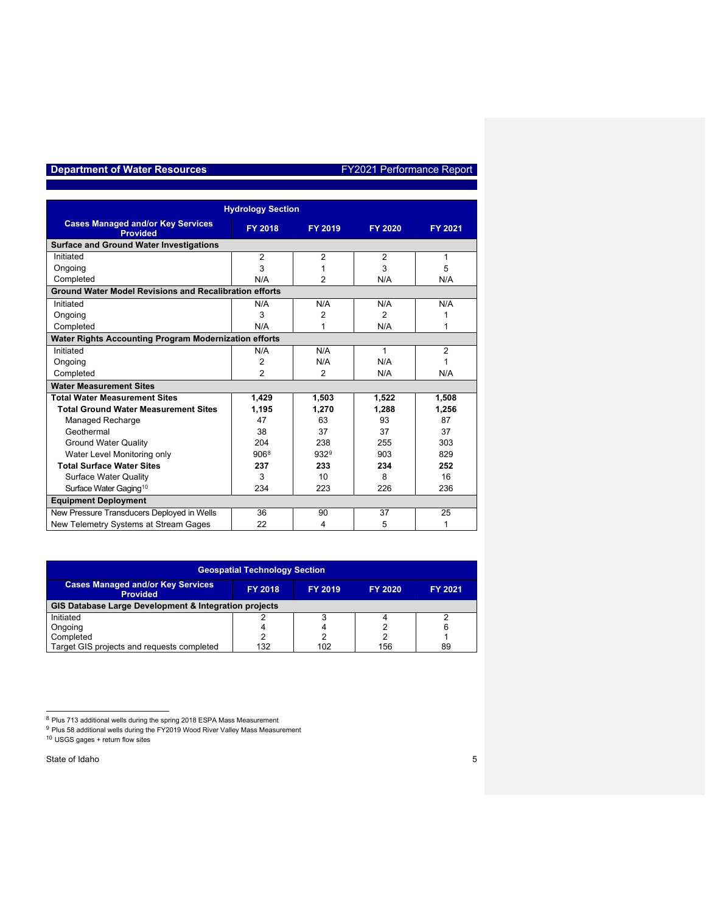| <b>Hydrology Section</b>                                      |                |                |                |                |  |  |  |  |
|---------------------------------------------------------------|----------------|----------------|----------------|----------------|--|--|--|--|
| <b>Cases Managed and/or Key Services</b><br><b>Provided</b>   | FY 2018        | FY 2019        | FY 2020        | FY 2021        |  |  |  |  |
| <b>Surface and Ground Water Investigations</b>                |                |                |                |                |  |  |  |  |
| Initiated                                                     | $\overline{2}$ | $\overline{2}$ | $\overline{2}$ | 1              |  |  |  |  |
| Ongoing                                                       | 3              | 1              | 3              | 5              |  |  |  |  |
| Completed                                                     | N/A            | $\overline{2}$ | N/A            | N/A            |  |  |  |  |
| <b>Ground Water Model Revisions and Recalibration efforts</b> |                |                |                |                |  |  |  |  |
| Initiated                                                     | N/A            | N/A            | N/A            | N/A            |  |  |  |  |
| Ongoing                                                       | 3              | 2              | $\mathcal{P}$  | 1              |  |  |  |  |
| Completed                                                     | N/A            | 1              | N/A            | 1              |  |  |  |  |
| <b>Water Rights Accounting Program Modernization efforts</b>  |                |                |                |                |  |  |  |  |
| Initiated                                                     | N/A            | N/A            | 1              | $\overline{2}$ |  |  |  |  |
| Ongoing                                                       | $\overline{2}$ | N/A            | N/A            | 1              |  |  |  |  |
| Completed                                                     | $\overline{2}$ | 2              | N/A            | N/A            |  |  |  |  |
| <b>Water Measurement Sites</b>                                |                |                |                |                |  |  |  |  |
| <b>Total Water Measurement Sites</b>                          | 1,429          | 1,503          | 1,522          | 1,508          |  |  |  |  |
| <b>Total Ground Water Measurement Sites</b>                   | 1,195          | 1,270          | 1.288          | 1,256          |  |  |  |  |
| Managed Recharge                                              | 47             | 63             | 93             | 87             |  |  |  |  |
| Geothermal                                                    | 38             | 37             | 37             | 37             |  |  |  |  |
| <b>Ground Water Quality</b>                                   | 204            | 238            | 255            | 303            |  |  |  |  |
| Water Level Monitoring only                                   | 9068           | 9329           | 903            | 829            |  |  |  |  |
| <b>Total Surface Water Sites</b>                              | 237            | 233            | 234            | 252            |  |  |  |  |
| <b>Surface Water Quality</b>                                  | 3              | 10             | 8              | 16             |  |  |  |  |
| Surface Water Gaging <sup>10</sup>                            | 234            | 223            | 226            | 236            |  |  |  |  |
| <b>Equipment Deployment</b>                                   |                |                |                |                |  |  |  |  |
| New Pressure Transducers Deployed in Wells                    | 36             | 90             | 37             | 25             |  |  |  |  |
| New Telemetry Systems at Stream Gages                         | 22             | 4              | 5              | 1              |  |  |  |  |

| <b>Geospatial Technology Section</b>                                                                                         |     |     |     |    |  |  |  |  |
|------------------------------------------------------------------------------------------------------------------------------|-----|-----|-----|----|--|--|--|--|
| <b>Cases Managed and/or Key Services</b><br>FY 2019<br><b>FY 2018</b><br><b>FY 2021</b><br><b>FY 2020</b><br><b>Provided</b> |     |     |     |    |  |  |  |  |
| GIS Database Large Development & Integration projects                                                                        |     |     |     |    |  |  |  |  |
| Initiated                                                                                                                    |     |     |     |    |  |  |  |  |
| Ongoing                                                                                                                      |     |     |     |    |  |  |  |  |
| Completed                                                                                                                    |     | າ   | ົ   |    |  |  |  |  |
| Target GIS projects and requests completed                                                                                   | 132 | 102 | 156 | 89 |  |  |  |  |

<sup>&</sup>lt;sup>8</sup> Plus 713 additional wells during the spring 2018 ESPA Mass Measurement

 $^9$  Plus 58 additional wells during the FY2019 Wood River Valley Mass Measurement

<span id="page-4-2"></span><span id="page-4-1"></span><span id="page-4-0"></span><sup>10</sup> USGS gages + return flow sites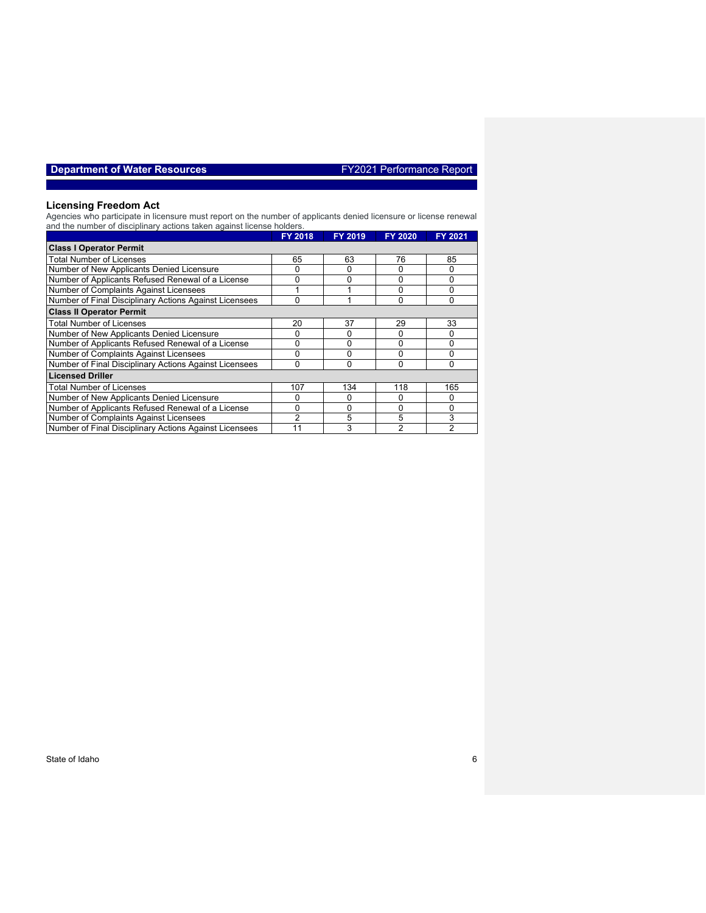|  | Department of Water Resources |  |  |  |  |  |  |
|--|-------------------------------|--|--|--|--|--|--|
|--|-------------------------------|--|--|--|--|--|--|

#### **Licensing Freedom Act**

Agencies who participate in licensure must report on the number of applicants denied licensure or license renewal and the number of disciplinary actions taken against license holders.

|                                                        | <b>FY 2018</b> | FY 2019 | FY 2020 | FY 2021 |
|--------------------------------------------------------|----------------|---------|---------|---------|
| <b>Class I Operator Permit</b>                         |                |         |         |         |
| <b>Total Number of Licenses</b>                        | 65             | 63      | 76      | 85      |
| Number of New Applicants Denied Licensure              |                | 0       |         | 0       |
| Number of Applicants Refused Renewal of a License      | 0              | 0       | 0       | 0       |
| Number of Complaints Against Licensees                 |                |         |         | 0       |
| Number of Final Disciplinary Actions Against Licensees | 0              | 1       | 0       | 0       |
| <b>Class II Operator Permit</b>                        |                |         |         |         |
| <b>Total Number of Licenses</b>                        | 20             | 37      | 29      | 33      |
| Number of New Applicants Denied Licensure              |                | 0       | 0       | 0       |
| Number of Applicants Refused Renewal of a License      |                | 0       |         | 0       |
| Number of Complaints Against Licensees                 | 0              | 0       | 0       | 0       |
| Number of Final Disciplinary Actions Against Licensees | O              | 0       | 0       | 0       |
| <b>Licensed Driller</b>                                |                |         |         |         |
| <b>Total Number of Licenses</b>                        | 107            | 134     | 118     | 165     |
| Number of New Applicants Denied Licensure              |                | 0       |         | 0       |
| Number of Applicants Refused Renewal of a License      | ი              | 0       | 0       | 0       |
| Number of Complaints Against Licensees                 | 2              | 5       | 5       | 3       |
| Number of Final Disciplinary Actions Against Licensees |                | 3       | 2       | 2       |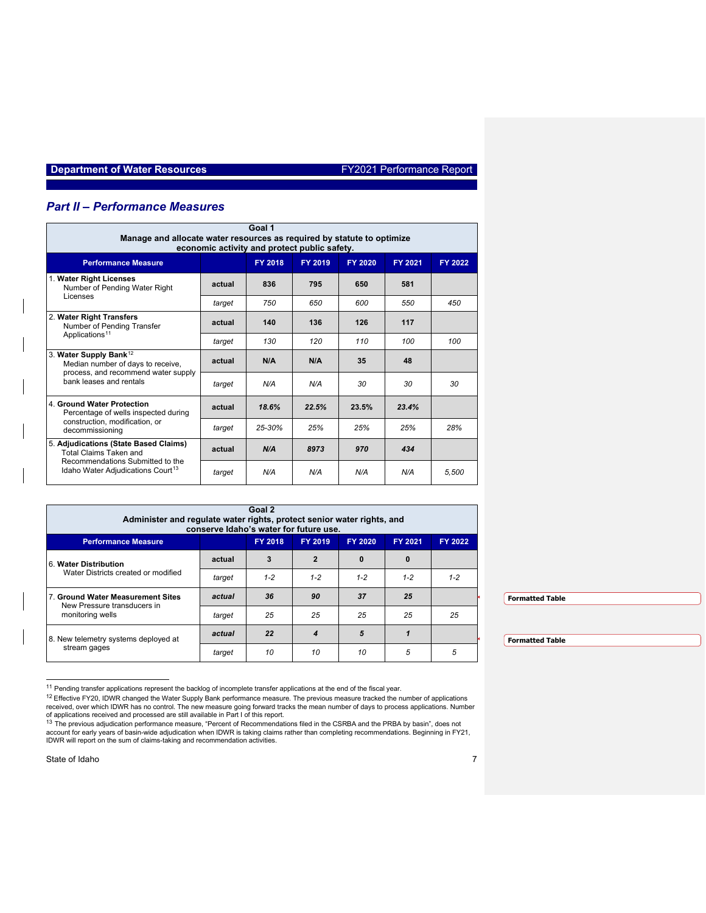## *Part II – Performance Measures*

| Goal 1<br>Manage and allocate water resources as required by statute to optimize<br>economic activity and protect public safety. |        |            |         |         |         |         |  |  |
|----------------------------------------------------------------------------------------------------------------------------------|--------|------------|---------|---------|---------|---------|--|--|
| <b>Performance Measure</b>                                                                                                       |        | FY 2018    | FY 2019 | FY 2020 | FY 2021 | FY 2022 |  |  |
| 1. Water Right Licenses<br>Number of Pending Water Right                                                                         | actual | 836        | 795     | 650     | 581     |         |  |  |
| Licenses                                                                                                                         | target | 750        | 650     | 600     | 550     | 450     |  |  |
| 2. Water Right Transfers<br>Number of Pending Transfer<br>Applications <sup>11</sup>                                             | actual | 140        | 136     | 126     | 117     |         |  |  |
|                                                                                                                                  | target | 130        | 120     | 110     | 100     | 100     |  |  |
| 3. Water Supply Bank <sup>12</sup><br>Median number of days to receive,                                                          | actual | N/A        | N/A     | 35      | 48      |         |  |  |
| process, and recommend water supply<br>bank leases and rentals                                                                   | target | N/A        | N/A     | 30      | 30      | 30      |  |  |
| 4. Ground Water Protection<br>Percentage of wells inspected during                                                               | actual | 18.6%      | 22.5%   | 23.5%   | 23.4%   |         |  |  |
| construction, modification, or<br>decommissioning                                                                                | target | $25 - 30%$ | 25%     | 25%     | 25%     | 28%     |  |  |
| 5. Adjudications (State Based Claims)<br>Total Claims Taken and                                                                  | actual | N/A        | 8973    | 970     | 434     |         |  |  |
| Recommendations Submitted to the<br>Idaho Water Adjudications Court <sup>13</sup>                                                | target | N/A        | N/A     | N/A     | N/A     | 5.500   |  |  |

| Goal 2<br>Administer and regulate water rights, protect senior water rights, and<br>conserve Idaho's water for future use. |        |                |                |             |          |         |                        |  |
|----------------------------------------------------------------------------------------------------------------------------|--------|----------------|----------------|-------------|----------|---------|------------------------|--|
| <b>Performance Measure</b>                                                                                                 |        | <b>FY 2018</b> | FY 2019        | FY 2020     | FY 2021  | FY 2022 |                        |  |
| l 6. Water Distribution<br>Water Districts created or modified                                                             | actual | 3              | $\overline{2}$ | $\mathbf 0$ | $\bf{0}$ |         |                        |  |
|                                                                                                                            | target | $1 - 2$        | $1 - 2$        | $1 - 2$     | $1 - 2$  | $1 - 2$ |                        |  |
| 7. Ground Water Measurement Sites<br>New Pressure transducers in<br>monitoring wells                                       | actual | 36             | 90             | 37          | 25       |         | <b>Formatted Table</b> |  |
|                                                                                                                            | target | 25             | 25             | 25          | 25       | 25      |                        |  |
| 8. New telemetry systems deployed at                                                                                       | actual | 22             | 4              | 5           |          |         | <b>Formatted Table</b> |  |
| stream gages                                                                                                               | target | 10             | 10             | 10          | 5        | 5       |                        |  |

 $11$  Pending transfer applications represent the backlog of incomplete transfer applications at the end of the fiscal year.

<sup>&</sup>lt;sup>12</sup> Effective FY20, IDWR changed the Water Supply Bank performance measure. The previous measure tracked the number of applications received, over which IDWR has no control. The new measure going forward tracks the mean

<span id="page-6-2"></span><span id="page-6-1"></span><span id="page-6-0"></span>